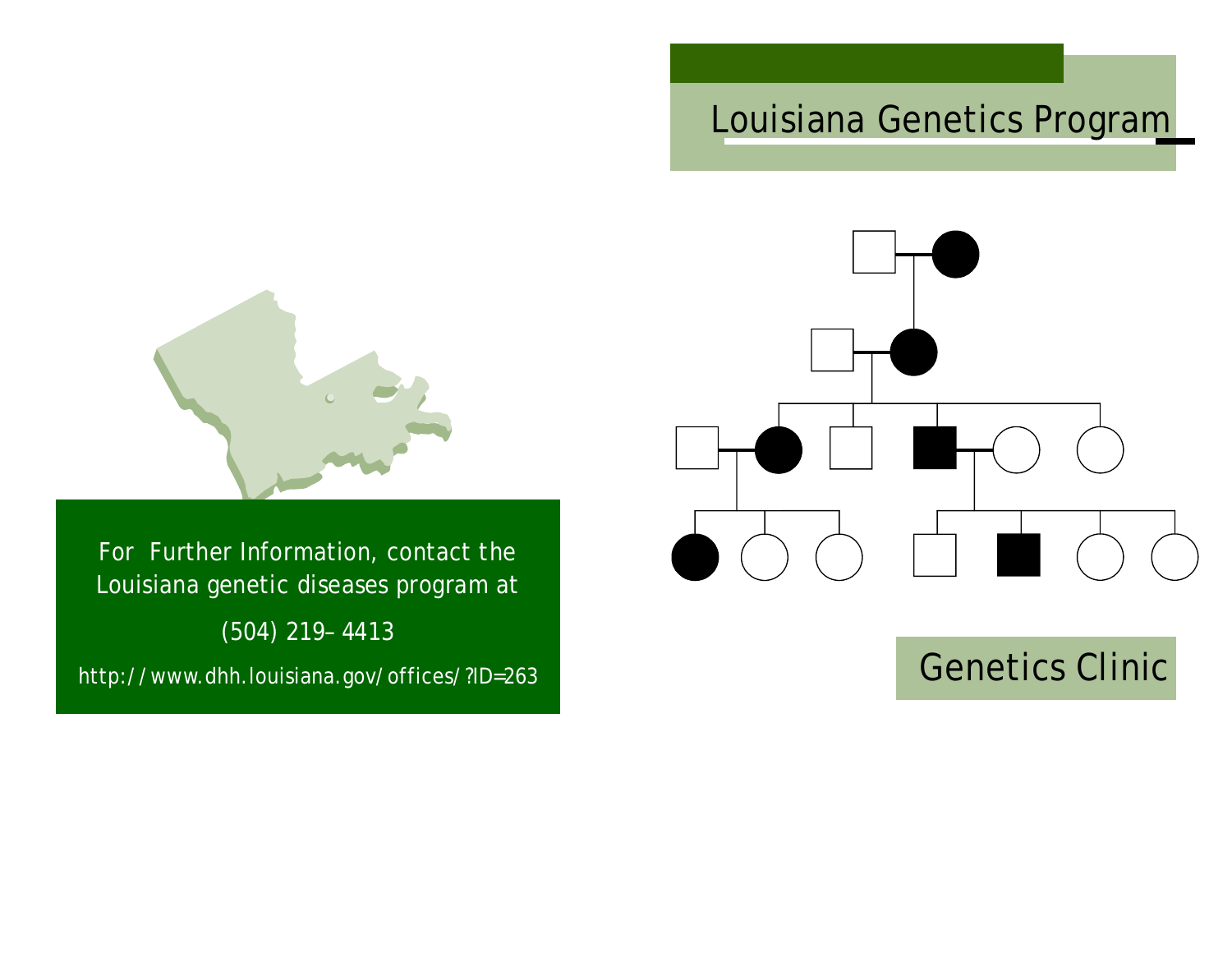## Louisiana Genetics Program



For Further Information, contact the Louisiana genetic diseases program at (504) 219– 4413 http://www.dhh.louisiana.gov/offices/?ID=263



# Genetics Clinic